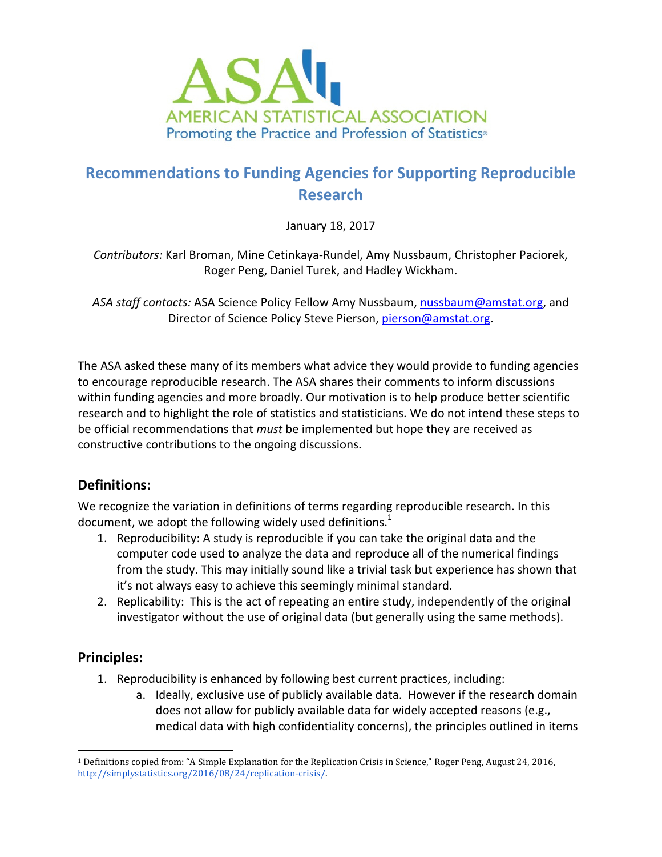

# Recommendations to Funding Agencies for Supporting Reproducible Research

January 18, 2017

Contributors: Karl Broman, Mine Cetinkaya-Rundel, Amy Nussbaum, Christopher Paciorek, Roger Peng, Daniel Turek, and Hadley Wickham.

ASA staff contacts: ASA Science Policy Fellow Amy Nussbaum, nussbaum@amstat.org, and Director of Science Policy Steve Pierson, pierson@amstat.org.

The ASA asked these many of its members what advice they would provide to funding agencies to encourage reproducible research. The ASA shares their comments to inform discussions within funding agencies and more broadly. Our motivation is to help produce better scientific research and to highlight the role of statistics and statisticians. We do not intend these steps to be official recommendations that *must* be implemented but hope they are received as constructive contributions to the ongoing discussions.

### Definitions:

We recognize the variation in definitions of terms regarding reproducible research. In this document, we adopt the following widely used definitions. $1$ 

- 1. Reproducibility: A study is reproducible if you can take the original data and the computer code used to analyze the data and reproduce all of the numerical findings from the study. This may initially sound like a trivial task but experience has shown that it's not always easy to achieve this seemingly minimal standard.
- 2. Replicability: This is the act of repeating an entire study, independently of the original investigator without the use of original data (but generally using the same methods).

### Principles:

- 1. Reproducibility is enhanced by following best current practices, including:
	- a. Ideally, exclusive use of publicly available data. However if the research domain does not allow for publicly available data for widely accepted reasons (e.g., medical data with high confidentiality concerns), the principles outlined in items

 $\overline{a}$ <sup>1</sup> Definitions copied from: "A Simple Explanation for the Replication Crisis in Science," Roger Peng, August 24, 2016, http://simplystatistics.org/2016/08/24/replication-crisis/.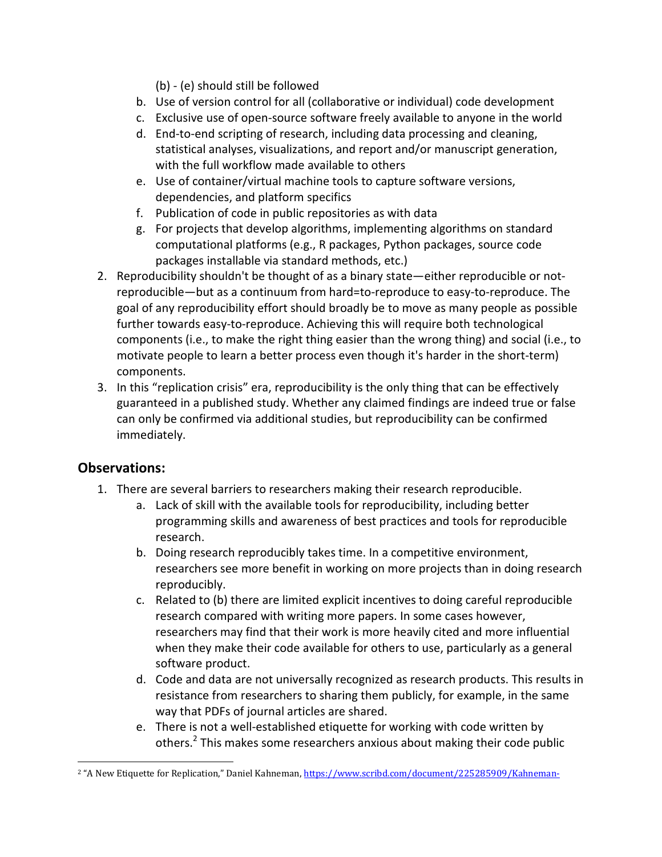(b) - (e) should still be followed

- b. Use of version control for all (collaborative or individual) code development
- c. Exclusive use of open-source software freely available to anyone in the world
- d. End-to-end scripting of research, including data processing and cleaning, statistical analyses, visualizations, and report and/or manuscript generation, with the full workflow made available to others
- e. Use of container/virtual machine tools to capture software versions, dependencies, and platform specifics
- f. Publication of code in public repositories as with data
- g. For projects that develop algorithms, implementing algorithms on standard computational platforms (e.g., R packages, Python packages, source code packages installable via standard methods, etc.)
- 2. Reproducibility shouldn't be thought of as a binary state—either reproducible or notreproducible—but as a continuum from hard=to-reproduce to easy-to-reproduce. The goal of any reproducibility effort should broadly be to move as many people as possible further towards easy-to-reproduce. Achieving this will require both technological components (i.e., to make the right thing easier than the wrong thing) and social (i.e., to motivate people to learn a better process even though it's harder in the short-term) components.
- 3. In this "replication crisis" era, reproducibility is the only thing that can be effectively guaranteed in a published study. Whether any claimed findings are indeed true or false can only be confirmed via additional studies, but reproducibility can be confirmed immediately.

### Observations:

- 1. There are several barriers to researchers making their research reproducible.
	- a. Lack of skill with the available tools for reproducibility, including better programming skills and awareness of best practices and tools for reproducible research.
	- b. Doing research reproducibly takes time. In a competitive environment, researchers see more benefit in working on more projects than in doing research reproducibly.
	- c. Related to (b) there are limited explicit incentives to doing careful reproducible research compared with writing more papers. In some cases however, researchers may find that their work is more heavily cited and more influential when they make their code available for others to use, particularly as a general software product.
	- d. Code and data are not universally recognized as research products. This results in resistance from researchers to sharing them publicly, for example, in the same way that PDFs of journal articles are shared.
	- e. There is not a well-established etiquette for working with code written by others.<sup>2</sup> This makes some researchers anxious about making their code public

 $\overline{a}$ <sup>2</sup> "A New Etiquette for Replication," Daniel Kahneman, https://www.scribd.com/document/225285909/Kahneman-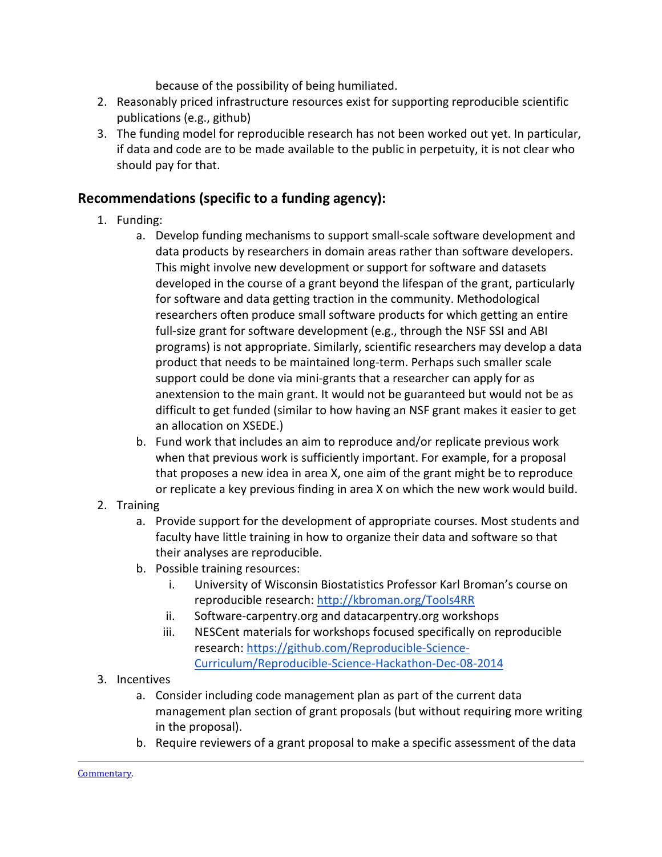because of the possibility of being humiliated.

- 2. Reasonably priced infrastructure resources exist for supporting reproducible scientific publications (e.g., github)
- 3. The funding model for reproducible research has not been worked out yet. In particular, if data and code are to be made available to the public in perpetuity, it is not clear who should pay for that.

## Recommendations (specific to a funding agency):

- 1. Funding:
	- a. Develop funding mechanisms to support small-scale software development and data products by researchers in domain areas rather than software developers. This might involve new development or support for software and datasets developed in the course of a grant beyond the lifespan of the grant, particularly for software and data getting traction in the community. Methodological researchers often produce small software products for which getting an entire full-size grant for software development (e.g., through the NSF SSI and ABI programs) is not appropriate. Similarly, scientific researchers may develop a data product that needs to be maintained long-term. Perhaps such smaller scale support could be done via mini-grants that a researcher can apply for as anextension to the main grant. It would not be guaranteed but would not be as difficult to get funded (similar to how having an NSF grant makes it easier to get an allocation on XSEDE.)
	- b. Fund work that includes an aim to reproduce and/or replicate previous work when that previous work is sufficiently important. For example, for a proposal that proposes a new idea in area X, one aim of the grant might be to reproduce or replicate a key previous finding in area X on which the new work would build.
- 2. Training
	- a. Provide support for the development of appropriate courses. Most students and faculty have little training in how to organize their data and software so that their analyses are reproducible.
	- b. Possible training resources:
		- i. University of Wisconsin Biostatistics Professor Karl Broman's course on reproducible research: http://kbroman.org/Tools4RR
		- ii. Software-carpentry.org and datacarpentry.org workshops
		- iii. NESCent materials for workshops focused specifically on reproducible research: https://github.com/Reproducible-Science-Curriculum/Reproducible-Science-Hackathon-Dec-08-2014
- 3. Incentives
	- a. Consider including code management plan as part of the current data management plan section of grant proposals (but without requiring more writing in the proposal).
	- b. Require reviewers of a grant proposal to make a specific assessment of the data

 $\overline{a}$